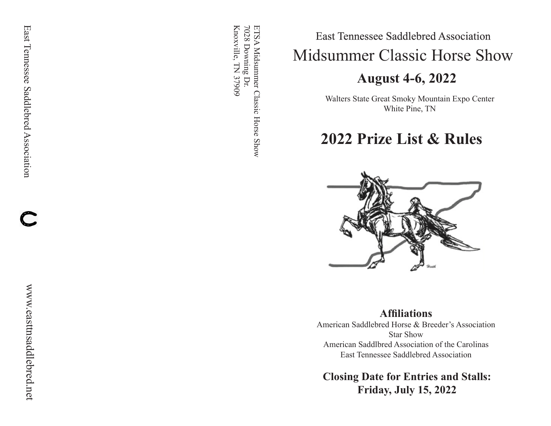ETSA Midsummer Classic Horse Show<br>7028 Downing Dr. Knoxville, TN 37909 Knoxville, TN 37909 7028 Downing Dr. ETSA Midsummer Classic Horse Show

# East Tennessee Saddlebred Association Midsummer Classic Horse Show

# **August 4-6, 2022**

Walters State Great Smoky Mountain Expo Center White Pine, TN

# **2022 Prize List & Rules**



# **Affiliations**

American Saddlebred Horse & Breeder's Association Star Show American Saddlbred Association of the Carolinas East Tennessee Saddlebred Association

**Closing Date for Entries and Stalls: Friday, July 15, 2022**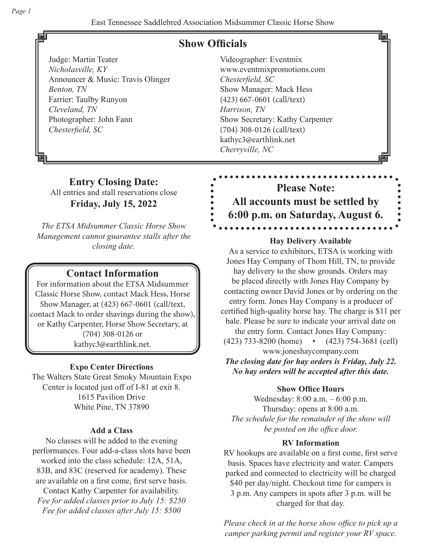# **Show Officials**

Judge: Martin Teater *Nicholasville, KY* Announcer & Music: Travis Olinger *Benton, TN* Farrier: Taulby Runyon *Cleveland, TN* Photographer: John Fann *Chesterfield, SC*

Videographer: Eventmix www.eventmixpromotions.com *Chesterfield, SC* Show Manager: Mack Hess (423) 667-0601 (call/text) *Harrison, TN*  Show Secretary: Kathy Carpenter (704) 308-0126 (call/text) kathyc3@earthlink.net *Cherryville, NC*

# **Entry Closing Date:** All entries and stall reservations close **Friday, July 15, 2022**

*The ETSA Midsummer Classic Horse Show Management cannot guarantee stalls after the closing date.*

# **Contact Information**

For information about the ETSA Midsummer Classic Horse Show, contact Mack Hess, Horse Show Manager, at (423) 667-0601 (call/text, contact Mack to order shavings during the show), or Kathy Carpenter, Horse Show Secretary, at (704) 308-0126 or kathyc3@earthlink.net.

# **Expo Center Directions**

The Walters State Great Smoky Mountain Expo Center is located just off of I-81 at exit 8. 1615 Pavilion Drive White Pine, TN 37890

# **Add a Class**

No classes will be added to the evening performances. Four add-a-class slots have been worked into the class schedule: 12A, 51A, 83B, and 83C (reserved for academy). These are available on a first come, first serve basis. Contact Kathy Carpenter for availability. *Fee for added classes prior to July 15: \$250 Fee for added classes after July 15: \$500*

# **Please Note: All accounts must be settled by 6:00 p.m. on Saturday, August 6.** . . . . . . .

## **Hay Delivery Available**

As a service to exhibitors, ETSA is working with Jones Hay Company of Thom Hill, TN, to provide hay delivery to the show grounds. Orders may be placed directly with Jones Hay Company by contacting owner David Jones or by ordering on the entry form. Jones Hay Company is a producer of certified high-quality horse hay. The charge is \$11 per bale. Please be sure to indicate your arrival date on the entry form. Contact Jones Hay Company: (423) 733-8200 (home) • (423) 754-3681 (cell) www.joneshaycompany.com

*The closing date for hay orders is Friday, July 22. No hay orders will be accepted after this date.*

# **Show Office Hours**

Wednesday: 8:00 a.m. – 6:00 p.m. Thursday: opens at 8:00 a.m. *The schedule for the remainder of the show will be posted on the office door.*

# **RV Information**

RV hookups are available on a first come, first serve basis. Spaces have electricity and water. Campers parked and connected to electricity will be charged \$40 per day/night. Checkout time for campers is 3 p.m. Any campers in spots after 3 p.m. will be charged for that day.

*Please check in at the horse show office to pick up a camper parking permit and register your RV space.*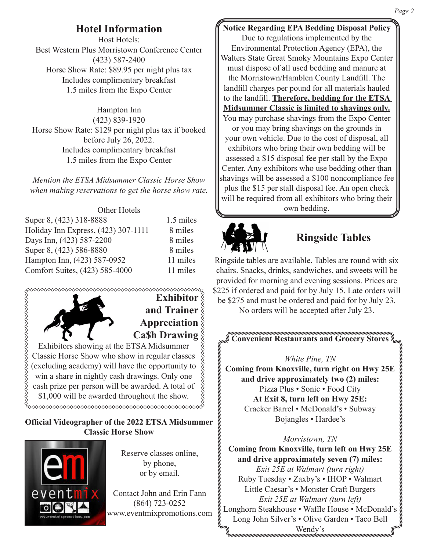# **Hotel Information**

Host Hotels: Best Western Plus Morristown Conference Center (423) 587-2400 Horse Show Rate: \$89.95 per night plus tax Includes complimentary breakfast 1.5 miles from the Expo Center

Hampton Inn (423) 839-1920 Horse Show Rate: \$129 per night plus tax if booked before July 26, 2022. Includes complimentary breakfast 1.5 miles from the Expo Center

*Mention the ETSA Midsummer Classic Horse Show when making reservations to get the horse show rate.*

### Other Hotels

| Super 8, (423) 318-8888             | 1.5 miles |
|-------------------------------------|-----------|
| Holiday Inn Express, (423) 307-1111 | 8 miles   |
| Days Inn, (423) 587-2200            | 8 miles   |
| Super 8, (423) 586-8880             | 8 miles   |
| Hampton Inn, (423) 587-0952         | 11 miles  |
| Comfort Suites, (423) 585-4000      | 11 miles  |
|                                     |           |



## **Official Videographer of the 2022 ETSA Midsummer Classic Horse Show**



Reserve classes online, by phone, or by email.

Contact John and Erin Fann (864) 723-0252 www.eventmixpromotions.com

# **Notice Regarding EPA Bedding Disposal Policy**

Due to regulations implemented by the Environmental Protection Agency (EPA), the Walters State Great Smoky Mountains Expo Center must dispose of all used bedding and manure at the Morristown/Hamblen County Landfill. The landfill charges per pound for all materials hauled to the landfill. **Therefore, bedding for the ETSA Midsummer Classic is limited to shavings only.** You may purchase shavings from the Expo Center or you may bring shavings on the grounds in your own vehicle. Due to the cost of disposal, all exhibitors who bring their own bedding will be assessed a \$15 disposal fee per stall by the Expo Center. Any exhibitors who use bedding other than shavings will be assessed a \$100 noncompliance fee plus the \$15 per stall disposal fee. An open check will be required from all exhibitors who bring their own bedding.



# **Ringside Tables**

Ringside tables are available. Tables are round with six chairs. Snacks, drinks, sandwiches, and sweets will be provided for morning and evening sessions. Prices are \$225 if ordered and paid for by July 15. Late orders will be \$275 and must be ordered and paid for by July 23.

No orders will be accepted after July 23.

**Convenient Restaurants and Grocery Stores**

### *White Pine, TN*

**Coming from Knoxville, turn right on Hwy 25E and drive approximately two (2) miles:** Pizza Plus • Sonic • Food City **At Exit 8, turn left on Hwy 25E:** Cracker Barrel • McDonald's • Subway Bojangles • Hardee's

### *Morristown, TN*

**Coming from Knoxville, turn left on Hwy 25E and drive approximately seven (7) miles:** *Exit 25E at Walmart (turn right)* Ruby Tuesday • Zaxby's • IHOP • Walmart Little Caesar's • Monster Craft Burgers *Exit 25E at Walmart (turn left)* Longhorn Steakhouse • Waffle House • McDonald's Long John Silver's • Olive Garden • Taco Bell Wendy's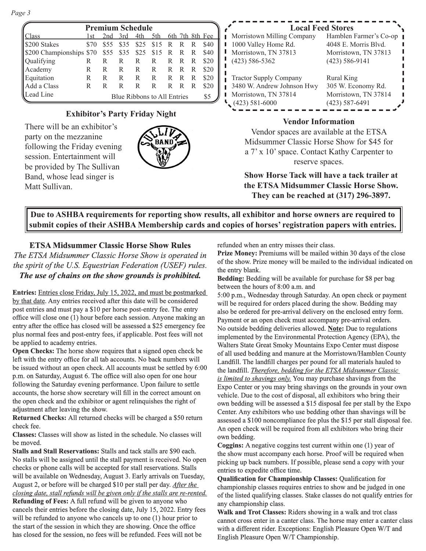*Page 3*

| <b>Premium Schedule</b>      |      |      |      |      |                                 |    |   |   |      |
|------------------------------|------|------|------|------|---------------------------------|----|---|---|------|
| Class                        | l st |      |      |      | 2nd 3rd 4th 5th 6th 7th 8th Fee |    |   |   |      |
| S200 Stakes                  | \$70 | \$55 | \$35 | \$25 | \$15                            | R  | R | R | \$40 |
| S200 Championships \$70 \$55 |      |      | \$35 | \$25 | \$15                            | R  | R | R | \$40 |
| Qualifying                   | R    | R    | R    | R    | R                               | R  | R | R | \$20 |
| Academy                      | R    | R    | R    | R    | R                               | R  | R | R | \$20 |
| Equitation                   | R    | R    | R    | R    | R                               | R. | R | R | \$20 |
| Add a Class                  | R    | R    | R    | R    | R                               | R  | R | R | \$20 |
| Lead Line                    |      |      |      |      | Blue Ribbons to All Entries     |    |   |   | \$5  |

### **Exhibitor's Party Friday Night**

There will be an exhibitor's party on the mezzanine following the Friday evening session. Entertainment will be provided by The Sullivan Band, whose lead singer is Matt Sullivan.



|    | <b>Local Feed Stores</b>      |                        |  |  |  |  |  |  |
|----|-------------------------------|------------------------|--|--|--|--|--|--|
| £. | Morristown Milling Company    | Hamblen Farmer's Co-op |  |  |  |  |  |  |
|    | 1000 Valley Home Rd.          | 4048 E. Morris Blvd.   |  |  |  |  |  |  |
| ℩  | Morristown, TN 37813          | Morristown, TN 37813   |  |  |  |  |  |  |
|    | $(423) 586 - 5362$            | $(423) 586 - 9141$     |  |  |  |  |  |  |
| €  |                               |                        |  |  |  |  |  |  |
| ℩  | <b>Tractor Supply Company</b> | Rural King             |  |  |  |  |  |  |
|    | 3480 W. Andrew Johnson Hwy    | 305 W. Economy Rd.     |  |  |  |  |  |  |
|    | Morristown, TN 37814          | Morristown, TN 37814   |  |  |  |  |  |  |
|    | $(423) 581 - 6000$            | $(423) 587 - 6491$     |  |  |  |  |  |  |
|    |                               |                        |  |  |  |  |  |  |

### **Vendor Information**

Vendor spaces are available at the ETSA Midsummer Classic Horse Show for \$45 for a 7' x 10' space. Contact Kathy Carpenter to reserve spaces.

**Show Horse Tack will have a tack trailer at the ETSA Midsummer Classic Horse Show. They can be reached at (317) 296-3897.**

**Due to ASHBA requirements for reporting show results, all exhibitor and horse owners are required to submit copies of their ASHBA Membership cards and copies of horses' registration papers with entries.**

### **ETSA Midsummer Classic Horse Show Rules**

*The ETSA Midsummer Classic Horse Show is operated in the spirit of the U.S. Equestrian Federation (USEF) rules. The use of chains on the show grounds is prohibited.*

**Entries:** Entries close Friday, July 15, 2022, and must be postmarked by that date. Any entries received after this date will be considered post entries and must pay a \$10 per horse post-entry fee. The entry office will close one (1) hour before each session. Anyone making an entry after the office has closed will be assessed a \$25 emergency fee plus normal fees and post-entry fees, if applicable. Post fees will not be applied to academy entries.

**Open Checks:** The horse show requires that a signed open check be left with the entry office for all tab accounts. No back numbers will be issued without an open check. All accounts must be settled by 6:00 p.m. on Saturday, August 6. The office will also open for one hour following the Saturday evening performance. Upon failure to settle accounts, the horse show secretary will fill in the correct amount on the open check and the exhibitor or agent relinquishes the right of adjustment after leaving the show.

**Returned Checks:** All returned checks will be charged a \$50 return check fee.

**Classes:** Classes will show as listed in the schedule. No classes will be moved.

**Stalls and Stall Reservations:** Stalls and tack stalls are \$90 each. No stalls will be assigned until the stall payment is received. No open checks or phone calls will be accepted for stall reservations. Stalls will be available on Wednesday, August 3. Early arrivals on Tuesday, August 2, or before will be charged \$10 per stall per day. *After the closing date, stall refunds will be given only if the stalls are re-rented.* **Refunding of Fees:** A full refund will be given to anyone who cancels their entries before the closing date, July 15, 2022. Entry fees will be refunded to anyone who cancels up to one (1) hour prior to the start of the session in which they are showing. Once the office has closed for the session, no fees will be refunded. Fees will not be

refunded when an entry misses their class.

**Prize Money:** Premiums will be mailed within 30 days of the close of the show. Prize money will be mailed to the individual indicated on the entry blank.

**Bedding:** Bedding will be available for purchase for \$8 per bag between the hours of 8:00 a.m. and

5:00 p.m., Wednesday through Saturday. An open check or payment will be required for orders placed during the show. Bedding may also be ordered for pre-arrival delivery on the enclosed entry form. Payment or an open check must accompany pre-arrival orders. No outside bedding deliveries allowed. **Note:** Due to regulations implemented by the Environmental Protection Agency (EPA), the Walters State Great Smoky Mountains Expo Center must dispose of all used bedding and manure at the Morristown/Hamblen County Landfill. The landfill charges per pound for all materials hauled to the landfill. *Therefore, bedding for the ETSA Midsummer Classic is limited to shavings only.* You may purchase shavings from the Expo Center or you may bring shavings on the grounds in your own vehicle. Due to the cost of disposal, all exhibitors who bring their own bedding will be assessed a \$15 disposal fee per stall by the Expo Center. Any exhibitors who use bedding other than shavings will be assessed a \$100 noncompliance fee plus the \$15 per stall disposal fee. An open check will be required from all exhibitors who bring their own bedding.

**Coggins:** A negative coggins test current within one (1) year of the show must accompany each horse. Proof will be required when picking up back numbers. If possible, please send a copy with your entries to expedite office time.

**Qualification for Championship Classes:** Qualification for championship classes requires entries to show and be judged in one of the listed qualifying classes. Stake classes do not qualify entries for any championship class.

**Walk and Trot Classes:** Riders showing in a walk and trot class cannot cross enter in a canter class. The horse may enter a canter class with a different rider. Exceptions: English Pleasure Open W/T and English Pleasure Open W/T Championship.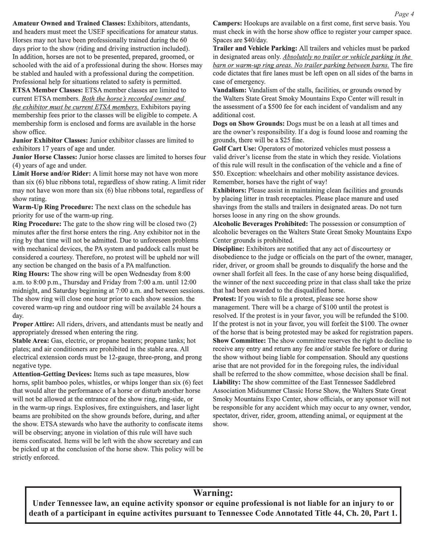**Amateur Owned and Trained Classes:** Exhibitors, attendants, and headers must meet the USEF specifications for amateur status. Horses may not have been professionally trained during the 60 days prior to the show (riding and driving instruction included). In addition, horses are not to be presented, prepared, groomed, or schooled with the aid of a professional during the show. Horses may be stabled and hauled with a professional during the competition. Professional help for situations related to safety is permitted.

**ETSA Member Classes:** ETSA member classes are limited to current ETSA members. *Both the horse's recorded owner and the exhibitor must be current ETSA members.* Exhibitors paying membership fees prior to the classes will be eligible to compete. A membership form is enclosed and forms are available in the horse show office.

**Junior Exhibitor Classes:** Junior exhibitor classes are limited to exhibitors 17 years of age and under.

**Junior Horse Classes:** Junior horse classes are limited to horses four (4) years of age and under.

**Limit Horse and/or Rider:** A limit horse may not have won more than six (6) blue ribbons total, regardless of show rating. A limit rider may not have won more than six (6) blue ribbons total, regardless of show rating.

**Warm-Up Ring Procedure:** The next class on the schedule has priority for use of the warm-up ring.

**Ring Procedure:** The gate to the show ring will be closed two (2) minutes after the first horse enters the ring. Any exhibitor not in the ring by that time will not be admitted. Due to unforeseen problems with mechanical devices, the PA system and paddock calls must be considered a courtesy. Therefore, no protest will be upheld nor will any section be changed on the basis of a PA malfunction.

**Ring Hours:** The show ring will be open Wednesday from 8:00 a.m. to 8:00 p.m., Thursday and Friday from 7:00 a.m. until 12:00 midnight, and Saturday beginning at 7:00 a.m. and between sessions. The show ring will close one hour prior to each show session. the covered warm-up ring and outdoor ring will be available 24 hours a day.

**Proper Attire:** All riders, drivers, and attendants must be neatly and appropriately dressed when entering the ring.

**Stable Area:** Gas, electric, or propane heaters; propane tanks; hot plates; and air conditioners are prohibited in the stable area. All electrical extension cords must be 12-gauge, three-prong, and prong negative type.

**Attention-Getting Devices:** Items such as tape measures, blow horns, split bamboo poles, whistles, or whips longer than six (6) feet that would alter the performance of a horse or disturb another horse will not be allowed at the entrance of the show ring, ring-side, or in the warm-up rings. Explosives, fire extinguishers, and laser light beams are prohibited on the show grounds before, during, and after the show. ETSA stewards who have the authority to confiscate items will be observing; anyone in violation of this rule will have such items confiscated. Items will be left with the show secretary and can be picked up at the conclusion of the horse show. This policy will be strictly enforced.

**Campers:** Hookups are available on a first come, first serve basis. You must check in with the horse show office to register your camper space. Spaces are \$40/day.

**Trailer and Vehicle Parking:** All trailers and vehicles must be parked in designated areas only. *Absolutely no trailer or vehicle parking in the barn or warm-up ring areas. No trailer parking between barns.* The fire code dictates that fire lanes must be left open on all sides of the barns in case of emergency.

**Vandalism:** Vandalism of the stalls, facilities, or grounds owned by the Walters State Great Smoky Mountains Expo Center will result in the assessment of a \$500 fee for each incident of vandalism and any additional cost.

**Dogs on Show Grounds:** Dogs must be on a leash at all times and are the owner's responsibility. If a dog is found loose and roaming the grounds, there will be a \$25 fine.

**Golf Cart Use:** Operators of motorized vehicles must possess a valid driver's license from the state in which they reside. Violations of this rule will result in the confiscation of the vehicle and a fine of \$50. Exception: wheelchairs and other mobility assistance devices. Remember, horses have the right of way!

**Exhibitors:** Please assist in maintaining clean facilities and grounds by placing litter in trash receptacles. Please place manure and used shavings from the stalls and trailers in designated areas. Do not turn horses loose in any ring on the show grounds.

**Alcoholic Beverages Prohibited:** The possession or consumption of alcoholic beverages on the Walters State Great Smoky Mountains Expo Center grounds is prohibited.

**Discipline:** Exhibitors are notified that any act of discourtesy or disobedience to the judge or officials on the part of the owner, manager, rider, driver, or groom shall be grounds to disqualify the horse and the owner shall forfeit all fees. In the case of any horse being disqualified, the winner of the next succeeding prize in that class shall take the prize that had been awarded to the disqualified horse.

**Protest:** If you wish to file a protest, please see horse show management. There will be a charge of \$100 until the protest is resolved. If the protest is in your favor, you will be refunded the \$100. If the protest is not in your favor, you will forfeit the \$100. The owner of the horse that is being protested may be asked for registration papers. **Show Committee:** The show committee reserves the right to decline to receive any entry and return any fee and/or stable fee before or during the show without being liable for compensation. Should any questions arise that are not provided for in the foregoing rules, the individual shall be referred to the show committee, whose decision shall be final. **Liability:** The show committee of the East Tennessee Saddlebred Association Midsummer Classic Horse Show, the Walters State Great Smoky Mountains Expo Center, show officials, or any sponsor will not be responsible for any accident which may occur to any owner, vendor, spectator, driver, rider, groom, attending animal, or equipment at the show.

### **Warning:**

**Under Tennessee law, an equine activity sponsor or equine professional is not liable for an injury to or death of a participant in equine activites pursuant to Tennessee Code Annotated Title 44, Ch. 20, Part 1.**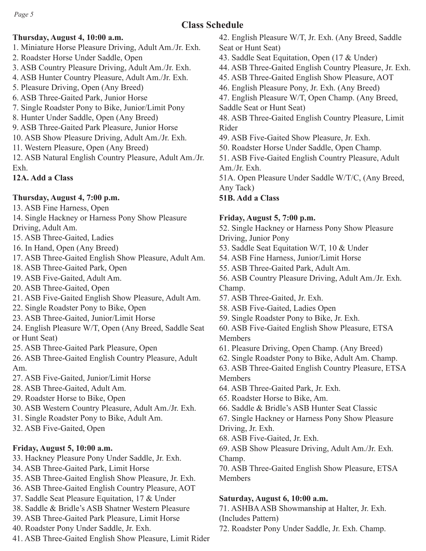# **Class Schedule**

# **Thursday, August 4, 10:00 a.m.**

- 1. Miniature Horse Pleasure Driving, Adult Am./Jr. Exh.
- 2. Roadster Horse Under Saddle, Open
- 3. ASB Country Pleasure Driving, Adult Am./Jr. Exh.
- 4. ASB Hunter Country Pleasure, Adult Am./Jr. Exh.
- 5. Pleasure Driving, Open (Any Breed)
- 6. ASB Three-Gaited Park, Junior Horse
- 7. Single Roadster Pony to Bike, Junior/Limit Pony
- 8. Hunter Under Saddle, Open (Any Breed)
- 9. ASB Three-Gaited Park Pleasure, Junior Horse
- 10. ASB Show Pleasure Driving, Adult Am./Jr. Exh.
- 11. Western Pleasure, Open (Any Breed)
- 12. ASB Natural English Country Pleasure, Adult Am./Jr. Exh.
- **12A. Add a Class**

# **Thursday, August 4, 7:00 p.m.**

- 13. ASB Fine Harness, Open
- 14. Single Hackney or Harness Pony Show Pleasure Driving, Adult Am.
- 15. ASB Three-Gaited, Ladies
- 
- 16. In Hand, Open (Any Breed)
- 17. ASB Three-Gaited English Show Pleasure, Adult Am.
- 18. ASB Three-Gaited Park, Open
- 19. ASB Five-Gaited, Adult Am.
- 20. ASB Three-Gaited, Open
- 21. ASB Five-Gaited English Show Pleasure, Adult Am.
- 22. Single Roadster Pony to Bike, Open
- 23. ASB Three-Gaited, Junior/Limit Horse
- 24. English Pleasure W/T, Open (Any Breed, Saddle Seat or Hunt Seat)
- 25. ASB Three-Gaited Park Pleasure, Open
- 26. ASB Three-Gaited English Country Pleasure, Adult Am.
- 27. ASB Five-Gaited, Junior/Limit Horse
- 28. ASB Three-Gaited, Adult Am.
- 29. Roadster Horse to Bike, Open
- 30. ASB Western Country Pleasure, Adult Am./Jr. Exh.
- 31. Single Roadster Pony to Bike, Adult Am.
- 32. ASB Five-Gaited, Open

# **Friday, August 5, 10:00 a.m.**

- 33. Hackney Pleasure Pony Under Saddle, Jr. Exh.
- 34. ASB Three-Gaited Park, Limit Horse
- 35. ASB Three-Gaited English Show Pleasure, Jr. Exh.
- 36. ASB Three-Gaited English Country Pleasure, AOT
- 37. Saddle Seat Pleasure Equitation, 17 & Under
- 38. Saddle & Bridle's ASB Shatner Western Pleasure
- 39. ASB Three-Gaited Park Pleasure, Limit Horse
- 40. Roadster Pony Under Saddle, Jr. Exh.
- 41. ASB Three-Gaited English Show Pleasure, Limit Rider
- 42. English Pleasure W/T, Jr. Exh. (Any Breed, Saddle Seat or Hunt Seat)
- 43. Saddle Seat Equitation, Open (17 & Under)
- 44. ASB Three-Gaited English Country Pleasure, Jr. Exh.
- 45. ASB Three-Gaited English Show Pleasure, AOT
- 46. English Pleasure Pony, Jr. Exh. (Any Breed)
- 47. English Pleasure W/T, Open Champ. (Any Breed, Saddle Seat or Hunt Seat)
- 48. ASB Three-Gaited English Country Pleasure, Limit Rider
- 49. ASB Five-Gaited Show Pleasure, Jr. Exh.
- 50. Roadster Horse Under Saddle, Open Champ.
- 51. ASB Five-Gaited English Country Pleasure, Adult Am./Jr. Exh.
- 51A. Open Pleasure Under Saddle W/T/C, (Any Breed, Any Tack)
- **51B. Add a Class**

# **Friday, August 5, 7:00 p.m.**

52. Single Hackney or Harness Pony Show Pleasure Driving, Junior Pony

- 53. Saddle Seat Equitation W/T, 10 & Under
- 54. ASB Fine Harness, Junior/Limit Horse
- 55. ASB Three-Gaited Park, Adult Am.
- 56. ASB Country Pleasure Driving, Adult Am./Jr. Exh. Champ.
- 57. ASB Three-Gaited, Jr. Exh.
- 58. ASB Five-Gaited, Ladies Open
- 59. Single Roadster Pony to Bike, Jr. Exh.
- 60. ASB Five-Gaited English Show Pleasure, ETSA Members
- 61. Pleasure Driving, Open Champ. (Any Breed)
- 62. Single Roadster Pony to Bike, Adult Am. Champ.
- 63. ASB Three-Gaited English Country Pleasure, ETSA Members
- 64. ASB Three-Gaited Park, Jr. Exh.
- 65. Roadster Horse to Bike, Am.
- 66. Saddle & Bridle's ASB Hunter Seat Classic
- 67. Single Hackney or Harness Pony Show Pleasure Driving, Jr. Exh.
- 68. ASB Five-Gaited, Jr. Exh.
- 69. ASB Show Pleasure Driving, Adult Am./Jr. Exh. Champ.
- 70. ASB Three-Gaited English Show Pleasure, ETSA Members

# **Saturday, August 6, 10:00 a.m.**

71. ASHBA ASB Showmanship at Halter, Jr. Exh. (Includes Pattern)

72. Roadster Pony Under Saddle, Jr. Exh. Champ.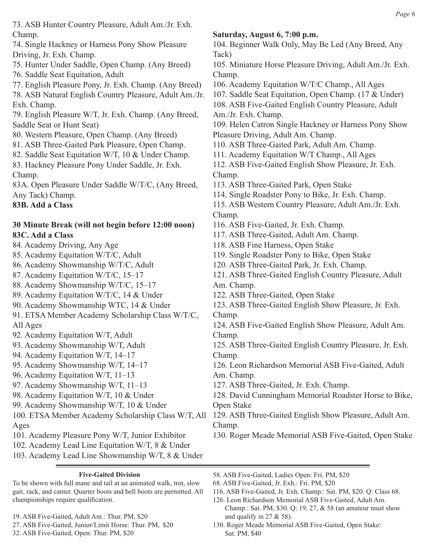73. ASB Hunter Country Pleasure, Adult Am./Jr. Exh. Champ.

74. Single Hackney or Harness Pony Show Pleasure Driving, Jr. Exh. Champ.

75. Hunter Under Saddle, Open Champ. (Any Breed)

76. Saddle Seat Equitation, Adult

77. English Pleasure Pony, Jr. Exh. Champ. (Any Breed)

78. ASB Natural English Country Pleasure, Adult Am./Jr. Exh. Champ.

79. English Pleasure W/T, Jr. Exh. Champ. (Any Breed, Saddle Seat or Hunt Seat)

80. Western Pleasure, Open Champ. (Any Breed)

81. ASB Three-Gaited Park Pleasure, Open Champ.

82. Saddle Seat Equitation W/T, 10 & Under Champ.

83. Hackney Pleasure Pony Under Saddle, Jr. Exh. Champ.

83A. Open Pleasure Under Saddle W/T/C, (Any Breed, Any Tack) Champ.

**83B. Add a Class**

## **30 Minute Break (will not begin before 12:00 noon) 83C. Add a Class**

84. Academy Driving, Any Age

85. Academy Equitation W/T/C, Adult

86. Academy Showmanship W/T/C, Adult

87. Academy Equitation W/T/C, 15–17

88. Academy Showmanship W/T/C, 15–17

89. Academy Equitation W/T/C, 14 & Under

90. Academy Showmanship WTC, 14 & Under

91. ETSA Member Academy Scholarship Class W/T/C, All Ages

92. Academy Equitation W/T, Adult

93. Academy Showmanship W/T, Adult

94. Academy Equitation W/T, 14–17

95. Academy Showmanship W/T, 14–17

96. Academy Equitation W/T, 11–13

97. Academy Showmanship W/T, 11–13

98. Academy Equitation W/T, 10 & Under

99. Academy Showmanship W/T, 10 & Under

Ages

101. Academy Pleasure Pony W/T, Junior Exhibitor

102. Academy Lead Line Equitation W/T, 8 & Under

103. Academy Lead Line Showmanship W/T, 8 & Under

### **Five-Gaited Division**

To be shown with full mane and tail at an animated walk, trot, slow gait, rack, and canter. Quarter boots and bell boots are permitted. All championships require qualification.

19. ASB Five-Gaited, Adult Am.: Thur. PM, \$20

27. ASB Five-Gaited, Junior/Limit Horse: Thur. PM, \$20

32. ASB Five-Gaited, Open: Thur. PM, \$20

# **Saturday, August 6, 7:00 p.m.**

104. Beginner Walk Only, May Be Led (Any Breed, Any Tack) 105. Miniature Horse Pleasure Driving, Adult Am./Jr. Exh.

Champ.

106. Academy Equitation W/T/C Champ., All Ages

107. Saddle Seat Equitation, Open Champ. (17 & Under)

108. ASB Five-Gaited English Country Pleasure, Adult Am./Jr. Exh. Champ.

109. Helen Catron Single Hackney or Harness Pony Show Pleasure Driving, Adult Am. Champ.

110. ASB Three-Gaited Park, Adult Am. Champ.

111. Academy Equitation W/T Champ., All Ages

112. ASB Five-Gaited English Show Pleasure, Jr. Exh. Champ.

113. ASB Three-Gaited Park, Open Stake

114. Single Roadster Pony to Bike, Jr. Exh. Champ.

115. ASB Western Country Pleasure, Adult Am./Jr. Exh. Champ.

116. ASB Five-Gaited, Jr. Exh. Champ.

117. ASB Three-Gaited, Adult Am. Champ.

118. ASB Fine Harness, Open Stake

119. Single Roadster Pony to Bike, Open Stake

120. ASB Three-Gaited Park, Jr. Exh. Champ.

121. ASB Three-Gaited English Country Pleasure, Adult Am. Champ.

122. ASB Three-Gaited, Open Stake

123. ASB Three-Gaited English Show Pleasure, Jr. Exh. Champ.

124. ASB Five-Gaited English Show Pleasure, Adult Am. Champ.

125. ASB Three-Gaited English Country Pleasure, Jr. Exh. Champ.

126. Leon Richardson Memorial ASB Five-Gaited, Adult Am. Champ.

127. ASB Three-Gaited, Jr. Exh. Champ.

128. David Cunningham Memorial Roadster Horse to Bike, Open Stake

100. ETSA Member Academy Scholarship Class W/T, All 129. ASB Three-Gaited English Show Pleasure, Adult Am. Champ.

130. Roger Meade Memorial ASB Five-Gaited, Open Stake

58. ASB Five-Gaited, Ladies Open: Fri. PM, \$20

68. ASB Five-Gaited, Jr. Exh.: Fri. PM, \$20

116. ASB Five-Gaited, Jr. Exh. Champ.: Sat. PM, \$20. Q: Class 68.

126. Leon Richardson Memorial ASB Five-Gaited, Adult Am. Champ.: Sat. PM, \$30. Q: 19, 27, & 58 (an amateur must show and qualify in  $27 \& 58$ ).

130. Roger Meade Memorial ASB Five-Gaited, Open Stake: Sat. PM, \$40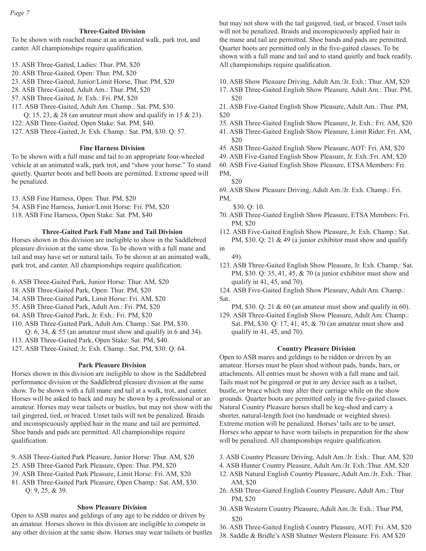### **Three-Gaited Division**

To be shown with roached mane at an animated walk, park trot, and canter. All championships require qualification.

- 15. ASB Three-Gaited, Ladies: Thur. PM, \$20
- 20. ASB Three-Gaited, Open: Thur. PM, \$20
- 23. ASB Three-Gaited, Junior/Limit Horse, Thur. PM, \$20
- 28. ASB Three-Gaited, Adult Am.: Thur. PM, \$20
- 57. ASB Three-Gaited, Jr. Exh.: Fri. PM, \$20
- 117. ASB Three-Gaited, Adult Am. Champ.: Sat. PM, \$30.
- Q: 15, 23, & 28 (an amateur must show and qualify in 15 & 23).
- 122: ASB Three-Gaited, Open Stake: Sat. PM, \$40.
- 127. ASB Three-Gaited, Jr. Exh. Champ.: Sat. PM, \$30. Q: 57.

#### **Fine Harness Division**

To be shown with a full mane and tail to an appropriate four-wheeled vehicle at an animated walk, park trot, and "show your horse." To stand quietly. Quarter boots and bell boots are permitted. Extreme speed will be penalized.

13. ASB Fine Harness, Open: Thur. PM, \$20 54. ASB Fine Harness, Junior/Limit Horse: Fri. PM, \$20 118. ASB Fine Harness, Open Stake: Sat. PM, \$40

#### **Three-Gaited Park Full Mane and Tail Division**

Horses shown in this division are ineligible to show in the Saddlebred pleasure division at the same show. To be shown with a full mane and tail and may have set or natural tails. To be shown at an animated walk, park trot, and canter. All championships require qualification.

- 6. ASB Three-Gaited Park, Junior Horse: Thur. AM, \$20
- 18. ASB Three-Gaited Park, Open: Thur. PM, \$20
- 34. ASB Three-Gaited Park, Limit Horse: Fri. AM, \$20
- 55. ASB Three-Gaited Park, Adult Am.: Fri. PM, \$20
- 64. ASB Three-Gaited Park, Jr. Exh.: Fri. PM, \$20
- 110. ASB Three-Gaited Park, Adult Am. Champ.: Sat. PM, \$30.
- Q:  $6$ ,  $34$ ,  $\&$   $55$  (an amateur must show and qualify in 6 and  $34$ ).
- 113. ASB Three-Gaited Park, Open Stake: Sat. PM, \$40.
- 127. ASB Three-Gaited, Jr. Exh. Champ.: Sat. PM, \$30. Q: 64.

#### **Park Pleasure Division**

Horses shown in this division are ineligible to show in the Saddlebred performance division or the Saddlebred pleasure division at the same show. To be shown with a full mane and tail at a walk, trot, and canter. Horses will be asked to back and may be shown by a professional or an amateur. Horses may wear tailsets or bustles, but may not show with the tail gingered, tied, or braced. Unset tails will not be penalized. Braids and inconspicuously applied hair in the mane and tail are permitted. Shoe bands and pads are permitted. All championships require qualification.

- 9. ASB Three-Gaited Park Pleasure, Junior Horse: Thur. AM, \$20
- 25. ASB Three-Gaited Park Pleasure, Open: Thur. PM, \$20
- 39. ASB Three-Gaited Park Pleasure, Limit Horse: Fri. AM, \$20
- 81. ASB Three-Gaited Park Pleasure, Open Champ.: Sat. AM, \$30. Q: 9, 25, & 39.

### **Show Pleasure Division**

Open to ASB mares and geldings of any age to be ridden or driven by an amateur. Horses shown in this division are ineligible to compete in any other division at the same show. Horses may wear tailsets or bustles but may not show with the tail gingered, tied, or braced. Unset tails will not be penalized. Braids and inconspicuously applied hair in the mane and tail are permitted. Shoe bands and pads are permitted. Quarter boots are permitted only in the five-gaited classes. To be shown with a full mane and tail and to stand quietly and back readily. All championships require qualification.

- 10. ASB Show Pleasure Driving, Adult Am./Jr. Exh.: Thur. AM, \$20
- 17. ASB Three-Gaited English Show Pleasure, Adult Am.: Thur. PM, \$20
- 21. ASB Five-Gaited English Show Pleasure, Adult Am.: Thur. PM, \$20
- 35. ASB Three-Gaited English Show Pleasure, Jr. Exh.: Fri. AM, \$20
- 41. ASB Three-Gaited English Show Pleasure, Limit Rider: Fri. AM, \$20
- 45. ASB Three-Gaited English Show Pleasure, AOT: Fri. AM, \$20
- 49. ASB Five-Gaited English Show Pleasure, Jr. Exh.:Fri. AM, \$20
- 60. ASB Five-Gaited English Show Pleasure, ETSA Members: Fri.
- PM, \$20
- 69. ASB Show Pleasure Driving, Adult Am./Jr. Exh. Champ.: Fri. PM,
	- \$30. Q: 10.
- 70. ASB Three-Gaited English Show Pleasure, ETSA Members: Fri. PM, \$20
- 112. ASB Five-Gaited English Show Pleasure, Jr. Exh. Champ.: Sat. PM, \$30. Q: 21 & 49 (a junior exhibitor must show and qualify
- in
	- 49).
- 123. ASB Three-Gaited English Show Pleasure, Jr. Exh. Champ.: Sat. PM, \$30. Q: 35, 41, 45, & 70 (a junior exhibitor must show and qualify in 41, 45, and 70).
- 124. ASB Five-Gaited English Show Pleasure, Adult Am. Champ.: Sat.
- PM, \$30. Q: 21 & 60 (an amateur must show and qualify in 60).
- 129. ASB Three-Gaited English Show Pleasure, Adult Am. Champ.: Sat. PM, \$30. Q: 17, 41, 45, & 70 (an amateur must show and qualify in 41, 45, and 70).

#### **Country Pleasure Division**

Open to ASB mares and geldings to be ridden or driven by an amateur. Horses must be plain shod without pads, bands, bars, or attachments. All entries must be shown with a full mane and tail. Tails must not be gingered or put in any device such as a tailset, bustle, or brace which may alter their carriage while on the show grounds. Quarter boots are permitted only in the five-gaited classes. Natural Country Pleasure horses shall be keg-shod and carry a shorter, natural-length foot (no handmade or weighted shoes). Extreme motion will be penalized. Horses' tails are to be unset. Horses who appear to have worn tailsets in preparation for the show will be penalized. All championships require qualification.

3. ASB Country Pleasure Driving, Adult Am./Jr. Exh.: Thur. AM, \$20

- 4. ASB Hunter Country Pleasure, Adult Am./Jr. Exh.:Thur. AM, \$20
- 12. ASB Natural English Country Pleasure, Adult Am./Jr. Exh.: Thur. AM, \$20
- 26. ASB Three-Gaited English Country Pleasure, Adult Am.: Thur PM, \$20
- 30. ASB Western Country Pleasure, Adult Am./Jr. Exh.: Thur PM, \$20
- 36. ASB Three-Gaited English Country Pleasure, AOT: Fri. AM, \$20
- 38. Saddle & Bridle's ASB Shatner Western Pleasure: Fri. AM \$20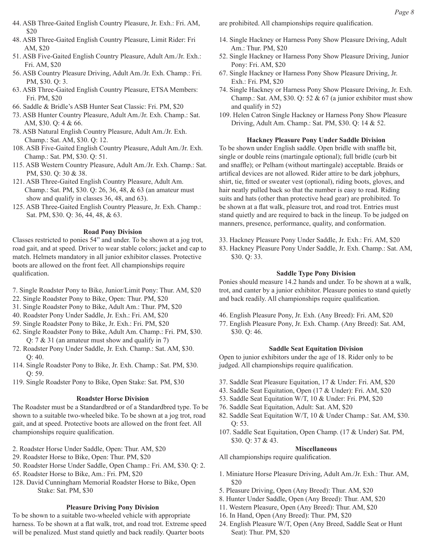- 44. ASB Three-Gaited English Country Pleasure, Jr. Exh.: Fri. AM, \$20
- 48. ASB Three-Gaited English Country Pleasure, Limit Rider: Fri AM, \$20
- 51. ASB Five-Gaited English Country Pleasure, Adult Am./Jr. Exh.: Fri. AM, \$20
- 56. ASB Country Pleasure Driving, Adult Am./Jr. Exh. Champ.: Fri. PM, \$30. Q: 3.
- 63. ASB Three-Gaited English Country Pleasure, ETSA Members: Fri. PM, \$20
- 66. Saddle & Bridle's ASB Hunter Seat Classic: Fri. PM, \$20
- 73. ASB Hunter Country Pleasure, Adult Am./Jr. Exh. Champ.: Sat. AM, \$30. Q: 4 & 66.
- 78. ASB Natural English Country Pleasure, Adult Am./Jr. Exh. Champ.: Sat. AM, \$30. Q: 12.
- 108. ASB Five-Gaited English Country Pleasure, Adult Am./Jr. Exh. Champ.: Sat. PM, \$30. Q: 51.
- 115. ASB Western Country Pleasure, Adult Am./Jr. Exh. Champ.: Sat. PM, \$30. Q: 30 & 38.
- 121. ASB Three-Gaited English Country Pleasure, Adult Am. Champ.: Sat. PM, \$30. Q: 26, 36, 48, & 63 (an amateur must show and qualify in classes 36, 48, and 63).
- 125. ASB Three-Gaited English Country Pleasure, Jr. Exh. Champ.: Sat. PM, \$30. Q: 36, 44, 48, & 63.

### **Road Pony Division**

Classes restricted to ponies 54" and under. To be shown at a jog trot, road gait, and at speed. Driver to wear stable colors; jacket and cap to match. Helmets mandatory in all junior exhibitor classes. Protective boots are allowed on the front feet. All championships require qualification.

- 7. Single Roadster Pony to Bike, Junior/Limit Pony: Thur. AM, \$20
- 22. Single Roadster Pony to Bike, Open: Thur. PM, \$20
- 31. Single Roadster Pony to Bike, Adult Am.: Thur. PM, \$20
- 40. Roadster Pony Under Saddle, Jr. Exh.: Fri. AM, \$20
- 59. Single Roadster Pony to Bike, Jr. Exh.: Fri. PM, \$20
- 62. Single Roadster Pony to Bike, Adult Am. Champ.: Fri. PM, \$30. Q: 7 & 31 (an amateur must show and qualify in 7)
- 72. Roadster Pony Under Saddle, Jr. Exh. Champ.: Sat. AM, \$30. Q: 40.
- 114. Single Roadster Pony to Bike, Jr. Exh. Champ.: Sat. PM, \$30. Q: 59.
- 119. Single Roadster Pony to Bike, Open Stake: Sat. PM, \$30

### **Roadster Horse Division**

The Roadster must be a Standardbred or of a Standardbred type. To be shown to a suitable two-wheeled bike. To be shown at a jog trot, road gait, and at speed. Protective boots are allowed on the front feet. All championships require qualification.

- 2. Roadster Horse Under Saddle, Open: Thur. AM, \$20
- 29. Roadster Horse to Bike, Open: Thur. PM, \$20
- 50. Roadster Horse Under Saddle, Open Champ.: Fri. AM, \$30. Q: 2.
- 65. Roadster Horse to Bike, Am.: Fri. PM, \$20
- 128. David Cunningham Memorial Roadster Horse to Bike, Open Stake: Sat. PM, \$30

### **Pleasure Driving Pony Division**

To be shown to a suitable two-wheeled vehicle with appropriate harness. To be shown at a flat walk, trot, and road trot. Extreme speed will be penalized. Must stand quietly and back readily. Quarter boots

are prohibited. All championships require qualification.

- 14. Single Hackney or Harness Pony Show Pleasure Driving, Adult Am.: Thur. PM, \$20
- 52. Single Hackney or Harness Pony Show Pleasure Driving, Junior Pony: Fri. AM, \$20
- 67. Single Hackney or Harness Pony Show Pleasure Driving, Jr. Exh.: Fri. PM, \$20
- 74. Single Hackney or Harness Pony Show Pleasure Driving, Jr. Exh. Champ.: Sat. AM, \$30. Q: 52  $& 67$  (a junior exhibitor must show and qualify in 52)
- 109. Helen Catron Single Hackney or Harness Pony Show Pleasure Driving, Adult Am. Champ.: Sat. PM, \$30. Q: 14 & 52.

### **Hackney Pleasure Pony Under Saddle Division**

To be shown under English saddle. Open bridle with snaffle bit, single or double reins (martingale optional); full bridle (curb bit and snaffle); or Pelham (without martingale) acceptable. Braids or artifical devices are not allowed. Rider attire to be dark jobphurs, shirt, tie, fitted or sweater vest (optional), riding boots, gloves, and hair neatly pulled back so that the number is easy to read. Riding suits and hats (other than protective head gear) are prohibited. To be shown at a flat walk, pleasure trot, and road trot. Entries must stand quietly and are required to back in the lineup. To be judged on manners, presence, performance, quality, and conformation.

- 33. Hackney Pleasure Pony Under Saddle, Jr. Exh.: Fri. AM, \$20
- 83. Hackney Pleasure Pony Under Saddle, Jr. Exh. Champ.: Sat. AM, \$30. Q: 33.

### **Saddle Type Pony Division**

Ponies should measure 14.2 hands and under. To be shown at a walk, trot, and canter by a junior exhibitor. Pleasure ponies to stand quietly and back readily. All championships require qualification.

- 46. English Pleasure Pony, Jr. Exh. (Any Breed): Fri. AM, \$20
- 77. English Pleasure Pony, Jr. Exh. Champ. (Any Breed): Sat. AM, \$30. Q: 46.

#### **Saddle Seat Equitation Division**

Open to junior exhibitors under the age of 18. Rider only to be judged. All championships require qualification.

- 37. Saddle Seat Pleasure Equitation, 17 & Under: Fri. AM, \$20
- 43. Saddle Seat Equitation, Open (17 & Under): Fri. AM, \$20
- 53. Saddle Seat Equitation W/T, 10 & Under: Fri. PM, \$20
- 76. Saddle Seat Equitation, Adult: Sat. AM, \$20
- 82. Saddle Seat Equitation W/T, 10 & Under Champ.: Sat. AM, \$30. Q: 53.
- 107. Saddle Seat Equitation, Open Champ. (17 & Under) Sat. PM, \$30. Q: 37 & 43.

### **Miscellaneous**

All championships require qualification.

- 1. Miniature Horse Pleasure Driving, Adult Am./Jr. Exh.: Thur. AM, \$20
- 5. Pleasure Driving, Open (Any Breed): Thur. AM, \$20
- 8. Hunter Under Saddle, Open (Any Breed): Thur. AM, \$20
- 11. Western Pleasure, Open (Any Breed): Thur. AM, \$20
- 16. In Hand, Open (Any Breed): Thur. PM, \$20
- 24. English Pleasure W/T, Open (Any Breed, Saddle Seat or Hunt Seat): Thur. PM, \$20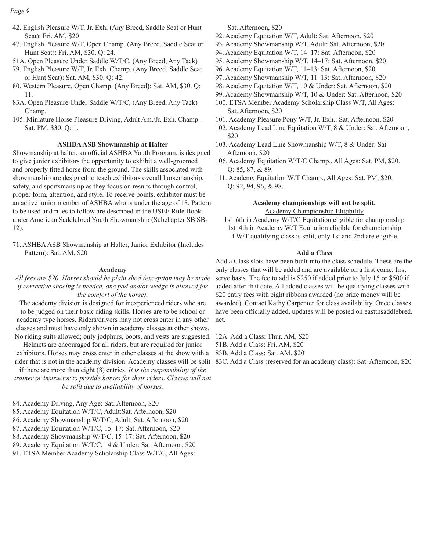### *Page 9*

- 42. English Pleasure W/T, Jr. Exh. (Any Breed, Saddle Seat or Hunt Seat): Fri. AM, \$20
- 47. English Pleasure W/T, Open Champ. (Any Breed, Saddle Seat or Hunt Seat): Fri. AM, \$30. Q: 24.
- 51A. Open Pleasure Under Saddle W/T/C, (Any Breed, Any Tack)
- 79. English Pleasure W/T, Jr. Exh. Champ. (Any Breed, Saddle Seat or Hunt Seat): Sat. AM, \$30. Q: 42.
- 80. Western Pleasure, Open Champ. (Any Breed): Sat. AM, \$30. Q: 11.
- 83A. Open Pleasure Under Saddle W/T/C, (Any Breed, Any Tack) Champ.
- 105. Miniature Horse Pleasure Driving, Adult Am./Jr. Exh. Champ.: Sat. PM, \$30. Q: 1.

#### **ASHBA ASB Showmanship at Halter**

Showmanship at halter, an official ASHBA Youth Program, is designed to give junior exhibitors the opportunity to exhibit a well-groomed and properly fitted horse from the ground. The skills associated with showmanship are designed to teach exhibitors overall horsemanship, safety, and sportsmanship as they focus on results through control, proper form, attention, and style. To receive points, exhibitor must be an active junior member of ASHBA who is under the age of 18. Pattern to be used and rules to follow are described in the USEF Rule Book under American Saddlebred Youth Showmanship (Subchapter SB SB-12).

71. ASHBA ASB Showmanship at Halter, Junior Exhibitor (Includes Pattern): Sat. AM, \$20

#### **Academy**

*All fees are \$20. Horses should be plain shod (exception may be made if corrective shoeing is needed, one pad and/or wedge is allowed for the comfort of the horse).* 

The academy division is designed for inexperienced riders who are to be judged on their basic riding skills. Horses are to be school or academy type horses. Riders/drivers may not cross enter in any other classes and must have only shown in academy classes at other shows. No riding suits allowed; only jodphurs, boots, and vests are suggested.

Helmets are encouraged for all riders, but are required for junior exhibitors. Horses may cross enter in other classes at the show with a rider that is not in the academy division. Academy classes will be split 83C. Add a Class (reserved for an academy class): Sat. Afternoon, \$20

if there are more than eight (8) entries. *It is the responsibility of the trainer or instructor to provide horses for their riders. Classes will not be split due to availability of horses.*

84. Academy Driving, Any Age: Sat. Afternoon, \$20

- 85. Academy Equitation W/T/C, Adult:Sat. Afternoon, \$20
- 86. Academy Showmanship W/T/C, Adult: Sat. Afternoon, \$20
- 87. Academy Equitation W/T/C, 15–17: Sat. Afternoon, \$20
- 88. Academy Showmanship W/T/C, 15–17: Sat. Afternoon, \$20
- 89. Academy Equitation W/T/C, 14 & Under: Sat. Afternoon, \$20
- 91. ETSA Member Academy Scholarship Class W/T/C, All Ages:

Sat. Afternoon, \$20

- 92. Academy Equitation W/T, Adult: Sat. Afternoon, \$20
- 93. Academy Showmanship W/T, Adult: Sat. Afternoon, \$20
- 94. Academy Equitation W/T, 14–17: Sat. Afternoon, \$20
- 95. Academy Showmanship W/T, 14–17: Sat. Afternoon, \$20
- 96. Academy Equitation W/T, 11–13: Sat. Afternoon, \$20
- 97. Academy Showmanship W/T, 11–13: Sat. Afternoon, \$20
- 98. Academy Equitation W/T, 10 & Under: Sat. Afternoon, \$20
- 99. Academy Showmanship W/T, 10 & Under: Sat. Afternoon, \$20
- 100. ETSA Member Academy Scholarship Class W/T, All Ages: Sat. Afternoon, \$20
- 101. Academy Pleasure Pony W/T, Jr. Exh.: Sat. Afternoon, \$20
- 102. Academy Lead Line Equitation W/T, 8 & Under: Sat. Afternoon, \$20
- 103. Academy Lead Line Showmanship W/T, 8 & Under: Sat Afternoon, \$20
- 106. Academy Equitation W/T/C Champ., All Ages: Sat. PM, \$20. Q: 85, 87, & 89.
- 111. Academy Equitation W/T Champ., All Ages: Sat. PM, \$20. Q: 92, 94, 96, & 98.

### **Academy championships will not be split.** Academy Championship Eligibility

1st–6th in Academy W/T/C Equitation eligible for championship 1st–4th in Academy W/T Equitation eligible for championship If W/T qualifying class is split, only 1st and 2nd are eligible.

#### **Add a Class**

Add a Class slots have been built into the class schedule. These are the only classes that will be added and are available on a first come, first serve basis. The fee to add is \$250 if added prior to July 15 or \$500 if added after that date. All added classes will be qualifying classes with \$20 entry fees with eight ribbons awarded (no prize money will be awarded). Contact Kathy Carpenter for class availability. Once classes have been officially added, updates will be posted on easttnsaddlebred. net.

12A. Add a Class: Thur. AM, \$20

- 51B. Add a Class: Fri. AM, \$20
- 83B. Add a Class: Sat. AM, \$20
-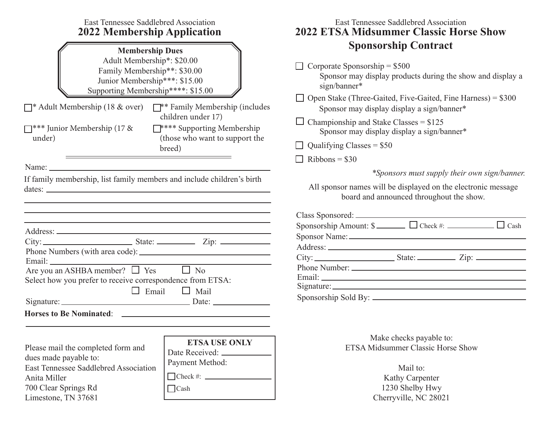| East Tennessee Saddlebred Association<br><b>2022 Membership Application</b>                                                                                                                                                                                                                                                                                                                                                                                                                                                                                                                                                                                                                                                                                                                                                           | East Tennessee Saddlebred Association<br><b>2022 ETSA Midsummer Classic Horse Show</b>                                                                                                                                                                                                                                                                                                                                                                                                                                                                                              |  |  |  |  |
|---------------------------------------------------------------------------------------------------------------------------------------------------------------------------------------------------------------------------------------------------------------------------------------------------------------------------------------------------------------------------------------------------------------------------------------------------------------------------------------------------------------------------------------------------------------------------------------------------------------------------------------------------------------------------------------------------------------------------------------------------------------------------------------------------------------------------------------|-------------------------------------------------------------------------------------------------------------------------------------------------------------------------------------------------------------------------------------------------------------------------------------------------------------------------------------------------------------------------------------------------------------------------------------------------------------------------------------------------------------------------------------------------------------------------------------|--|--|--|--|
| <b>Membership Dues</b><br>Adult Membership*: \$20.00<br>Family Membership**: \$30.00<br>Junior Membership***: \$15.00<br>Supporting Membership****: \$15.00<br>$\Box^*$ Adult Membership (18 & over) $\Box^*$ Family Membership (includes<br>children under 17)<br>E <sup>****</sup> Supporting Membership<br>$\Box$ *** Junior Membership (17 &<br>(those who want to support the<br>under)<br>breed)<br>Name: Name and the state of the state of the state of the state of the state of the state of the state of the state of the state of the state of the state of the state of the state of the state of the state of the state of<br>If family membership, list family members and include children's birth<br>the contract of the contract of the contract of the contract of the contract of the contract of the contract of | <b>Sponsorship Contract</b><br>Corporate Sponsorship = $$500$<br>Sponsor may display products during the show and display a<br>sign/banner*<br>$\Box$ Open Stake (Three-Gaited, Five-Gaited, Fine Harness) = \$300<br>Sponsor may display display a sign/banner*<br>$\Box$ Championship and Stake Classes = \$125<br>Sponsor may display display a sign/banner*<br>$\Box$ Qualifying Classes = \$50<br>$Ribbons = $30$<br>*Sponsors must supply their own sign/banner.<br>All sponsor names will be displayed on the electronic message<br>board and announced throughout the show. |  |  |  |  |
| the control of the control of the control of the control of the control of the control of the control of the control of the control of the control of the control of the control of the control of the control of the control<br>Are you an ASHBA member? $\Box$ Yes $\Box$ No<br>Select how you prefer to receive correspondence from ETSA:<br>$\Box$ Email $\Box$ Mail<br>Signature: Date: Date:                                                                                                                                                                                                                                                                                                                                                                                                                                    | Sponsor Name: 2008 and 2008 and 2008 and 2008 and 2008 and 2008 and 2008 and 2008 and 2008 and 2008 and 2008 and 2008 and 2008 and 2008 and 2008 and 2008 and 2008 and 2008 and 2008 and 2008 and 2008 and 2008 and 2008 and 2                                                                                                                                                                                                                                                                                                                                                      |  |  |  |  |
| <b>ETSA USE ONLY</b><br>Please mail the completed form and<br>Date Received: _<br>dues made payable to:<br>Payment Method:<br>East Tennessee Saddlebred Association<br>$\Box$ Check #: $\Box$<br>Anita Miller<br>700 Clear Springs Rd<br>$\Box$ Cash<br>Limestone, TN 37681                                                                                                                                                                                                                                                                                                                                                                                                                                                                                                                                                           | Make checks payable to:<br><b>ETSA Midsummer Classic Horse Show</b><br>Mail to:<br>Kathy Carpenter<br>1230 Shelby Hwy<br>Cherryville, NC 28021                                                                                                                                                                                                                                                                                                                                                                                                                                      |  |  |  |  |